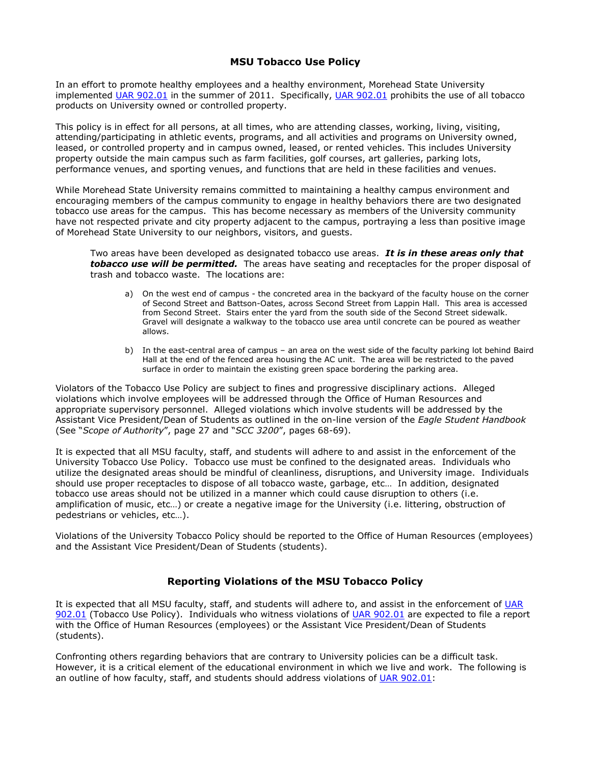## **MSU Tobacco Use Policy**

In an effort to promote healthy employees and a healthy environment, Morehead State University implemented [UAR 902.01](http://www2.moreheadstate.edu/files/units/provost/UAR%20902.pdf) in the summer of 2011. Specifically, UAR 902.01 prohibits the use of all tobacco products on University owned or controlled property.

This policy is in effect for all persons, at all times, who are attending classes, working, living, visiting, attending/participating in athletic events, programs, and all activities and programs on University owned, leased, or controlled property and in campus owned, leased, or rented vehicles. This includes University property outside the main campus such as farm facilities, golf courses, art galleries, parking lots, performance venues, and sporting venues, and functions that are held in these facilities and venues.

While Morehead State University remains committed to maintaining a healthy campus environment and encouraging members of the campus community to engage in healthy behaviors there are two designated tobacco use areas for the campus. This has become necessary as members of the University community have not respected private and city property adjacent to the campus, portraying a less than positive image of Morehead State University to our neighbors, visitors, and guests.

Two areas have been developed as designated tobacco use areas. *It is in these areas only that tobacco use will be permitted.* The areas have seating and receptacles for the proper disposal of trash and tobacco waste. The locations are:

- a) On the west end of campus the concreted area in the backyard of the faculty house on the corner of Second Street and Battson-Oates, across Second Street from Lappin Hall. This area is accessed from Second Street. Stairs enter the yard from the south side of the Second Street sidewalk. Gravel will designate a walkway to the tobacco use area until concrete can be poured as weather allows.
- b) In the east-central area of campus an area on the west side of the faculty parking lot behind Baird Hall at the end of the fenced area housing the AC unit. The area will be restricted to the paved surface in order to maintain the existing green space bordering the parking area.

Violators of the Tobacco Use Policy are subject to fines and progressive disciplinary actions. Alleged violations which involve employees will be addressed through the Office of Human Resources and appropriate supervisory personnel. Alleged violations which involve students will be addressed by the Assistant Vice President/Dean of Students as outlined in the on-line version of the *Eagle Student Handbook*  (See "*Scope of Authority*", page 27 and "*SCC 3200*", pages 68-69).

It is expected that all MSU faculty, staff, and students will adhere to and assist in the enforcement of the University Tobacco Use Policy. Tobacco use must be confined to the designated areas. Individuals who utilize the designated areas should be mindful of cleanliness, disruptions, and University image. Individuals should use proper receptacles to dispose of all tobacco waste, garbage, etc… In addition, designated tobacco use areas should not be utilized in a manner which could cause disruption to others (i.e. amplification of music, etc…) or create a negative image for the University (i.e. littering, obstruction of pedestrians or vehicles, etc…).

Violations of the University Tobacco Policy should be reported to the Office of Human Resources (employees) and the Assistant Vice President/Dean of Students (students).

## **Reporting Violations of the MSU Tobacco Policy**

It is expected that all MSU faculty, staff, and students will adhere to, and assist in the enforcement of [UAR](http://www2.moreheadstate.edu/files/units/provost/UAR%20902.pdf)  [902.01](http://www2.moreheadstate.edu/files/units/provost/UAR%20902.pdf) (Tobacco Use Policy). Individuals who witness violations of [UAR 902.01](http://www2.moreheadstate.edu/files/units/provost/UAR%20902.pdf) are expected to file a report with the Office of Human Resources (employees) or the Assistant Vice President/Dean of Students (students).

Confronting others regarding behaviors that are contrary to University policies can be a difficult task. However, it is a critical element of the educational environment in which we live and work. The following is an outline of how faculty, staff, and students should address violations of [UAR 902.01:](http://www2.moreheadstate.edu/files/units/provost/UAR%20902.pdf)